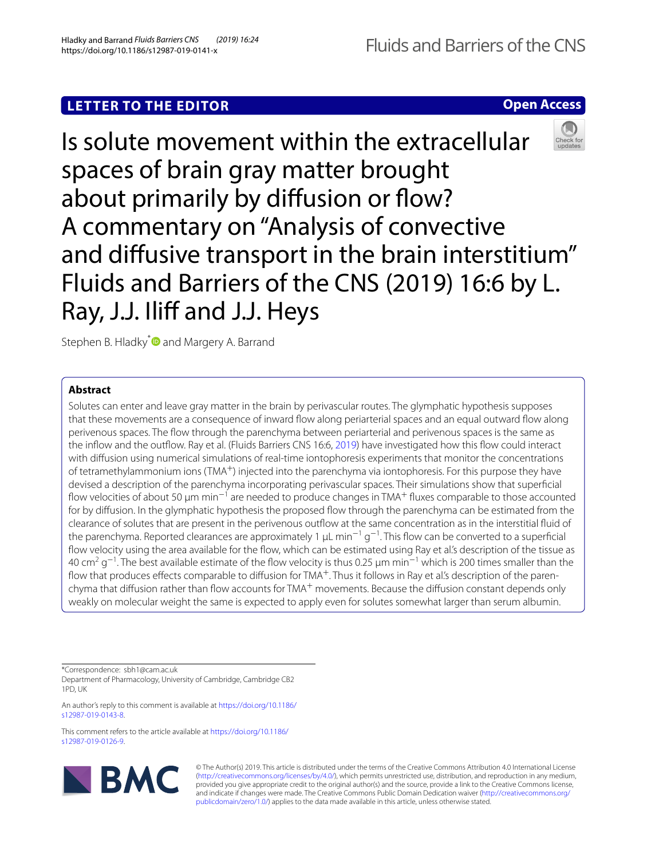# **LETTER TO THE EDITOR**

**Open Access**



Stephen B. Hladky<sup>\*</sup> and Margery A. Barrand

## **Abstract**

Solutes can enter and leave gray matter in the brain by perivascular routes. The glymphatic hypothesis supposes that these movements are a consequence of inward fow along periarterial spaces and an equal outward fow along perivenous spaces. The fow through the parenchyma between periarterial and perivenous spaces is the same as the infow and the outfow. Ray et al. (Fluids Barriers CNS 16:6, [2019](#page-2-0)) have investigated how this fow could interact with difusion using numerical simulations of real-time iontophoresis experiments that monitor the concentrations of tetramethylammonium ions (TMA+) injected into the parenchyma via iontophoresis. For this purpose they have devised a description of the parenchyma incorporating perivascular spaces. Their simulations show that superfcial flow velocities of about 50  $\mu$ m min $^{-1}$  are needed to produce changes in TMA<sup>+</sup> fluxes comparable to those accounted for by difusion. In the glymphatic hypothesis the proposed fow through the parenchyma can be estimated from the clearance of solutes that are present in the perivenous outfow at the same concentration as in the interstitial fuid of the parenchyma. Reported clearances are approximately 1 µL min<sup>-1</sup> g<sup>-1</sup>. This flow can be converted to a superficial flow velocity using the area available for the flow, which can be estimated using Ray et al's description of the tissue as 40 cm<sup>2</sup> g<sup>−1</sup>. The best available estimate of the flow velocity is thus 0.25 µm min<sup>−1</sup> which is 200 times smaller than the flow that produces effects comparable to diffusion for TMA<sup>+</sup>. Thus it follows in Ray et al.'s description of the parenchyma that diffusion rather than flow accounts for TMA<sup>+</sup> movements. Because the diffusion constant depends only weakly on molecular weight the same is expected to apply even for solutes somewhat larger than serum albumin.

\*Correspondence: sbh1@cam.ac.uk Department of Pharmacology, University of Cambridge, Cambridge CB2 1PD, UK

An author's reply to this comment is available at [https://doi.org/10.1186/](https://doi.org/10.1186/s12987-019-0143-8) [s12987-019-0143-8.](https://doi.org/10.1186/s12987-019-0143-8)

This comment refers to the article available at [https://doi.org/10.1186/](https://doi.org/10.1186/s12987-019-0126-9) [s12987-019-0126-9.](https://doi.org/10.1186/s12987-019-0126-9)



© The Author(s) 2019. This article is distributed under the terms of the Creative Commons Attribution 4.0 International License [\(http://creativecommons.org/licenses/by/4.0/\)](http://creativecommons.org/licenses/by/4.0/), which permits unrestricted use, distribution, and reproduction in any medium, provided you give appropriate credit to the original author(s) and the source, provide a link to the Creative Commons license, and indicate if changes were made. The Creative Commons Public Domain Dedication waiver ([http://creativecommons.org/](http://creativecommons.org/publicdomain/zero/1.0/) [publicdomain/zero/1.0/](http://creativecommons.org/publicdomain/zero/1.0/)) applies to the data made available in this article, unless otherwise stated.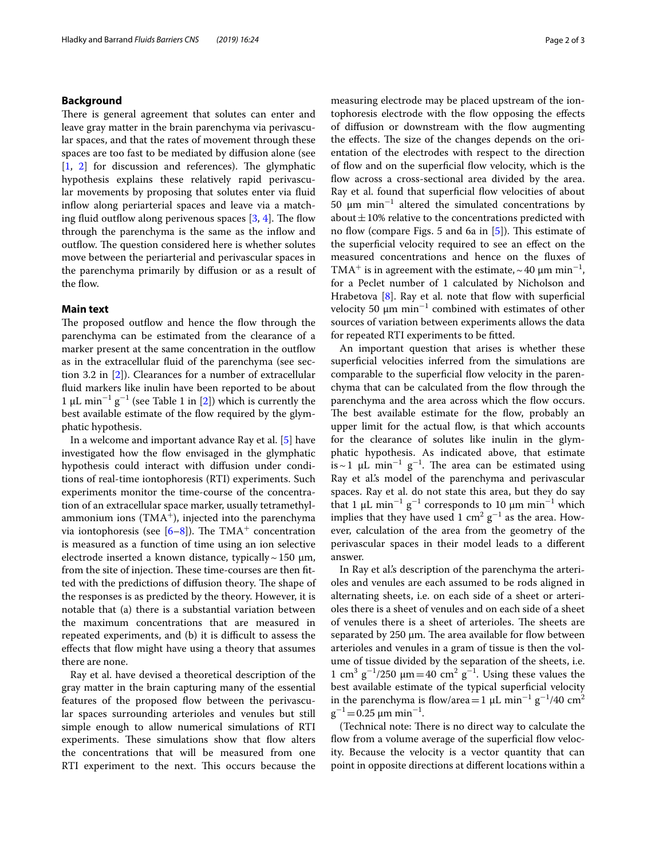## **Background**

There is general agreement that solutes can enter and leave gray matter in the brain parenchyma via perivascular spaces, and that the rates of movement through these spaces are too fast to be mediated by difusion alone (see  $[1, 2]$  $[1, 2]$  $[1, 2]$  $[1, 2]$  $[1, 2]$  for discussion and references). The glymphatic hypothesis explains these relatively rapid perivascular movements by proposing that solutes enter via fuid infow along periarterial spaces and leave via a matching fluid outflow along perivenous spaces  $[3, 4]$  $[3, 4]$  $[3, 4]$ . The flow through the parenchyma is the same as the infow and outflow. The question considered here is whether solutes move between the periarterial and perivascular spaces in the parenchyma primarily by difusion or as a result of the flow.

## **Main text**

The proposed outflow and hence the flow through the parenchyma can be estimated from the clearance of a marker present at the same concentration in the outflow as in the extracellular fuid of the parenchyma (see section 3.2 in [\[2\]](#page-2-2)). Clearances for a number of extracellular fuid markers like inulin have been reported to be about 1 μL min<sup>-1</sup> g<sup>-1</sup> (see Table 1 in [[2\]](#page-2-2)) which is currently the best available estimate of the flow required by the glymphatic hypothesis.

In a welcome and important advance Ray et al. [\[5](#page-2-0)] have investigated how the flow envisaged in the glymphatic hypothesis could interact with difusion under conditions of real-time iontophoresis (RTI) experiments. Such experiments monitor the time-course of the concentration of an extracellular space marker, usually tetramethylammonium ions  $(TMA^+)$ , injected into the parenchyma via iontophoresis (see  $[6-8]$  $[6-8]$  $[6-8]$ ). The TMA<sup>+</sup> concentration is measured as a function of time using an ion selective electrode inserted a known distance, typically  $\sim$  150  $\mu$ m, from the site of injection. These time-courses are then fitted with the predictions of diffusion theory. The shape of the responses is as predicted by the theory. However, it is notable that (a) there is a substantial variation between the maximum concentrations that are measured in repeated experiments, and (b) it is difficult to assess the efects that fow might have using a theory that assumes there are none.

Ray et al. have devised a theoretical description of the gray matter in the brain capturing many of the essential features of the proposed flow between the perivascular spaces surrounding arterioles and venules but still simple enough to allow numerical simulations of RTI experiments. These simulations show that flow alters the concentrations that will be measured from one RTI experiment to the next. This occurs because the measuring electrode may be placed upstream of the iontophoresis electrode with the fow opposing the efects of difusion or downstream with the fow augmenting the effects. The size of the changes depends on the orientation of the electrodes with respect to the direction of fow and on the superfcial fow velocity, which is the flow across a cross-sectional area divided by the area. Ray et al. found that superficial flow velocities of about 50  $\mu$ m min<sup>-1</sup> altered the simulated concentrations by about  $\pm$  10% relative to the concentrations predicted with no flow (compare Figs. 5 and 6a in  $[5]$  $[5]$ ). This estimate of the superficial velocity required to see an effect on the measured concentrations and hence on the fuxes of TMA<sup>+</sup> is in agreement with the estimate,  $\sim$  40  $\mu$ m min<sup>-1</sup>, for a Peclet number of 1 calculated by Nicholson and Hrabetova  $[8]$  $[8]$  $[8]$ . Ray et al. note that flow with superficial velocity 50  $\mu$ m min<sup>-1</sup> combined with estimates of other sources of variation between experiments allows the data for repeated RTI experiments to be ftted.

An important question that arises is whether these superficial velocities inferred from the simulations are comparable to the superficial flow velocity in the parenchyma that can be calculated from the flow through the parenchyma and the area across which the fow occurs. The best available estimate for the flow, probably an upper limit for the actual flow, is that which accounts for the clearance of solutes like inulin in the glymphatic hypothesis. As indicated above, that estimate is ~ 1 µL min<sup>-1</sup> g<sup>-1</sup>. The area can be estimated using Ray et al's model of the parenchyma and perivascular spaces. Ray et al. do not state this area, but they do say that 1  $\mu$ L min<sup>-1</sup> g<sup>-1</sup> corresponds to 10  $\mu$ m min<sup>-1</sup> which implies that they have used 1  $\text{cm}^2 \text{ g}^{-1}$  as the area. However, calculation of the area from the geometry of the perivascular spaces in their model leads to a diferent answer.

In Ray et al.'s description of the parenchyma the arterioles and venules are each assumed to be rods aligned in alternating sheets, i.e. on each side of a sheet or arterioles there is a sheet of venules and on each side of a sheet of venules there is a sheet of arterioles. The sheets are separated by  $250 \mu m$ . The area available for flow between arterioles and venules in a gram of tissue is then the volume of tissue divided by the separation of the sheets, i.e. 1 cm<sup>3</sup> g<sup>-1</sup>/250 μm = 40 cm<sup>2</sup> g<sup>-1</sup>. Using these values the best available estimate of the typical superficial velocity in the parenchyma is flow/area=1  $\mu$ L min<sup>-1</sup> g<sup>-1</sup>/40 cm<sup>2</sup>  $g^{-1}$  = 0.25 µm min<sup>-1</sup>.

(Technical note: There is no direct way to calculate the flow from a volume average of the superficial flow velocity. Because the velocity is a vector quantity that can point in opposite directions at diferent locations within a